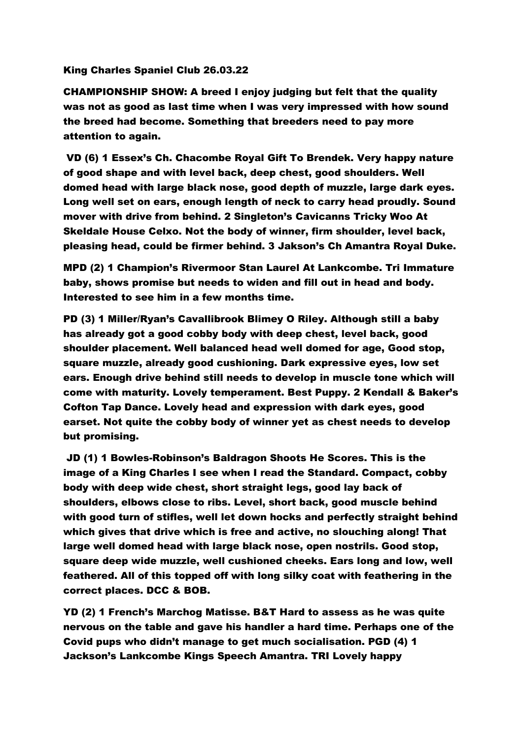## King Charles Spaniel Club 26.03.22

CHAMPIONSHIP SHOW: A breed I enjoy judging but felt that the quality was not as good as last time when I was very impressed with how sound the breed had become. Something that breeders need to pay more attention to again.

VD (6) 1 Essex's Ch. Chacombe Royal Gift To Brendek. Very happy nature of good shape and with level back, deep chest, good shoulders. Well domed head with large black nose, good depth of muzzle, large dark eyes. Long well set on ears, enough length of neck to carry head proudly. Sound mover with drive from behind. 2 Singleton's Cavicanns Tricky Woo At Skeldale House Celxo. Not the body of winner, firm shoulder, level back, pleasing head, could be firmer behind. 3 Jakson's Ch Amantra Royal Duke.

MPD (2) 1 Champion's Rivermoor Stan Laurel At Lankcombe. Tri Immature baby, shows promise but needs to widen and fill out in head and body. Interested to see him in a few months time.

PD (3) 1 Miller/Ryan's Cavallibrook Blimey O Riley. Although still a baby has already got a good cobby body with deep chest, level back, good shoulder placement. Well balanced head well domed for age, Good stop, square muzzle, already good cushioning. Dark expressive eyes, low set ears. Enough drive behind still needs to develop in muscle tone which will come with maturity. Lovely temperament. Best Puppy. 2 Kendall & Baker's Cofton Tap Dance. Lovely head and expression with dark eyes, good earset. Not quite the cobby body of winner yet as chest needs to develop but promising.

JD (1) 1 Bowles-Robinson's Baldragon Shoots He Scores. This is the image of a King Charles I see when I read the Standard. Compact, cobby body with deep wide chest, short straight legs, good lay back of shoulders, elbows close to ribs. Level, short back, good muscle behind with good turn of stifles, well let down hocks and perfectly straight behind which gives that drive which is free and active, no slouching along! That large well domed head with large black nose, open nostrils. Good stop, square deep wide muzzle, well cushioned cheeks. Ears long and low, well feathered. All of this topped off with long silky coat with feathering in the correct places. DCC & BOB.

YD (2) 1 French's Marchog Matisse. B&T Hard to assess as he was quite nervous on the table and gave his handler a hard time. Perhaps one of the Covid pups who didn't manage to get much socialisation. PGD (4) 1 Jackson's Lankcombe Kings Speech Amantra. TRI Lovely happy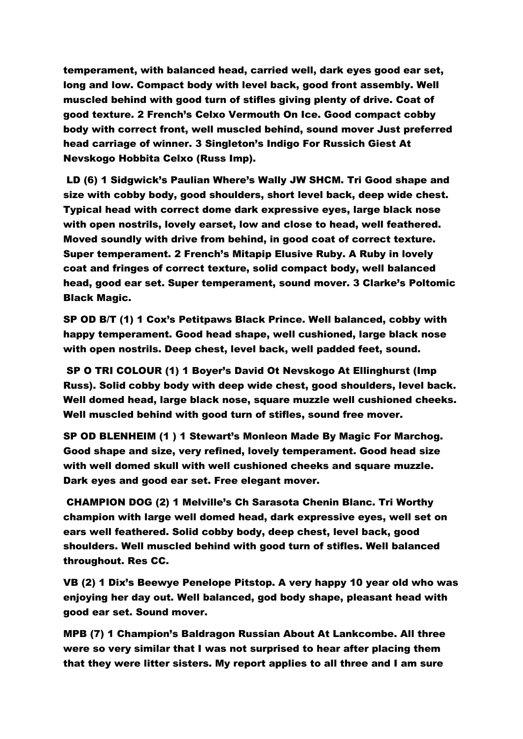temperament, with balanced head, carried well, dark eyes good ear set, long and low. Compact body with level back, good front assembly. Well muscled behind with good turn of stifles giving plenty of drive. Coat of good texture. 2 French's Celxo Vermouth On Ice. Good compact cobby body with correct front, well muscled behind, sound mover Just preferred head carriage of winner. 3 Singleton's Indigo For Russich Giest At Nevskogo Hobbita Celxo (Russ Imp).

LD (6) 1 Sidgwick's Paulian Where's Wally JW SHCM. Tri Good shape and size with cobby body, good shoulders, short level back, deep wide chest. Typical head with correct dome dark expressive eyes, large black nose with open nostrils, lovely earset, low and close to head, well feathered. Moved soundly with drive from behind, in good coat of correct texture. Super temperament. 2 French's Mitapip Elusive Ruby. A Ruby in lovely coat and fringes of correct texture, solid compact body, well balanced head, good ear set. Super temperament, sound mover. 3 Clarke's Poltomic Black Magic.

SP OD B/T (1) 1 Cox's Petitpaws Black Prince. Well balanced, cobby with happy temperament. Good head shape, well cushioned, large black nose with open nostrils. Deep chest, level back, well padded feet, sound.

SP O TRI COLOUR (1) 1 Boyer's David Ot Nevskogo At Ellinghurst (Imp Russ). Solid cobby body with deep wide chest, good shoulders, level back. Well domed head, large black nose, square muzzle well cushioned cheeks. Well muscled behind with good turn of stifles, sound free mover.

SP OD BLENHEIM (1 ) 1 Stewart's Monleon Made By Magic For Marchog. Good shape and size, very refined, lovely temperament. Good head size with well domed skull with well cushioned cheeks and square muzzle. Dark eyes and good ear set. Free elegant mover.

CHAMPION DOG (2) 1 Melville's Ch Sarasota Chenin Blanc. Tri Worthy champion with large well domed head, dark expressive eyes, well set on ears well feathered. Solid cobby body, deep chest, level back, good shoulders. Well muscled behind with good turn of stifles. Well balanced throughout. Res CC.

VB (2) 1 Dix's Beewye Penelope Pitstop. A very happy 10 year old who was enjoying her day out. Well balanced, god body shape, pleasant head with good ear set. Sound mover.

MPB (7) 1 Champion's Baldragon Russian About At Lankcombe. All three were so very similar that I was not surprised to hear after placing them that they were litter sisters. My report applies to all three and I am sure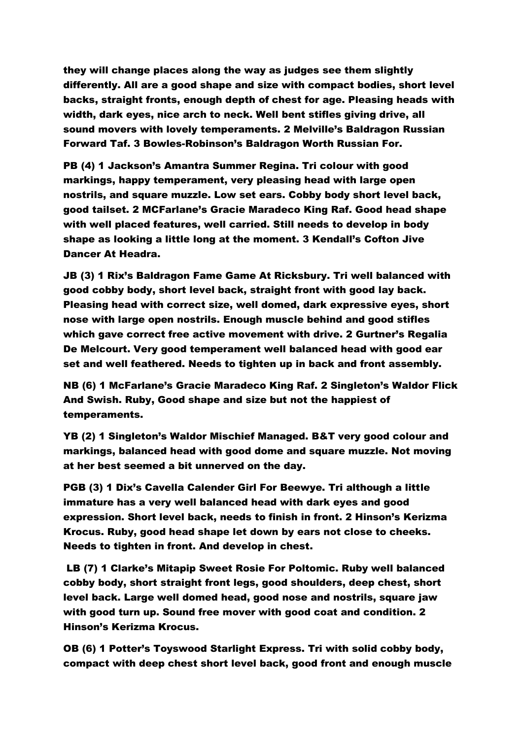they will change places along the way as judges see them slightly differently. All are a good shape and size with compact bodies, short level backs, straight fronts, enough depth of chest for age. Pleasing heads with width, dark eyes, nice arch to neck. Well bent stifles giving drive, all sound movers with lovely temperaments. 2 Melville's Baldragon Russian Forward Taf. 3 Bowles-Robinson's Baldragon Worth Russian For.

PB (4) 1 Jackson's Amantra Summer Regina. Tri colour with good markings, happy temperament, very pleasing head with large open nostrils, and square muzzle. Low set ears. Cobby body short level back, good tailset. 2 MCFarlane's Gracie Maradeco King Raf. Good head shape with well placed features, well carried. Still needs to develop in body shape as looking a little long at the moment. 3 Kendall's Cofton Jive Dancer At Headra.

JB (3) 1 Rix's Baldragon Fame Game At Ricksbury. Tri well balanced with good cobby body, short level back, straight front with good lay back. Pleasing head with correct size, well domed, dark expressive eyes, short nose with large open nostrils. Enough muscle behind and good stifles which gave correct free active movement with drive. 2 Gurtner's Regalia De Melcourt. Very good temperament well balanced head with good ear set and well feathered. Needs to tighten up in back and front assembly.

NB (6) 1 McFarlane's Gracie Maradeco King Raf. 2 Singleton's Waldor Flick And Swish. Ruby, Good shape and size but not the happiest of temperaments.

YB (2) 1 Singleton's Waldor Mischief Managed. B&T very good colour and markings, balanced head with good dome and square muzzle. Not moving at her best seemed a bit unnerved on the day.

PGB (3) 1 Dix's Cavella Calender Girl For Beewye. Tri although a little immature has a very well balanced head with dark eyes and good expression. Short level back, needs to finish in front. 2 Hinson's Kerizma Krocus. Ruby, good head shape let down by ears not close to cheeks. Needs to tighten in front. And develop in chest.

LB (7) 1 Clarke's Mitapip Sweet Rosie For Poltomic. Ruby well balanced cobby body, short straight front legs, good shoulders, deep chest, short level back. Large well domed head, good nose and nostrils, square jaw with good turn up. Sound free mover with good coat and condition. 2 Hinson's Kerizma Krocus.

OB (6) 1 Potter's Toyswood Starlight Express. Tri with solid cobby body, compact with deep chest short level back, good front and enough muscle